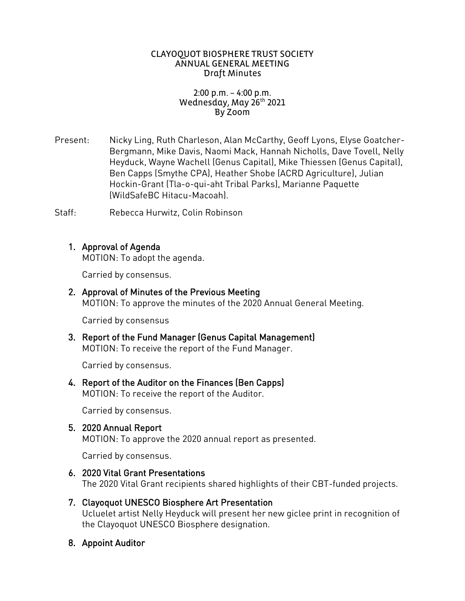### CLAYOQUOT BIOSPHERE TRUST SOCIETY ANNUAL GENERAL MEETING Draft Minutes

## $2:00$  p.m. – 4:00 p.m. Wednesday, May 26th 2021 By Zoom

Present: Nicky Ling, Ruth Charleson, Alan McCarthy, Geoff Lyons, Elyse Goatcher-<br>Bergmann, Mike Davis, Naomi Mack, Hannah Nicholls, Dave Tovell, Nelly Heyduck, Wayne Wachell (Genus Capital), Mike Thiessen (Genus Capital), Ben Capps (Smythe CPA), Heather Shobe (ACRD Agriculture), Julian Hockin-Grant (Tla-o-gui-aht Tribal Parks), Marianne Paguette (WildSafeBC Hitacu-Macoah), (WildSafeBC Hitacu-Macoah).

 $Stat:$ Staff: Rebecca Hurwitz, Colin Robinson

1. Approval on Service  $\overline{a}$ 

Carried by consensus.

2. Approval of Minutes of the Previous Meeting Meeting Meeting Meeting Meeting Meeting of the Previous Meeting MOTION: To approve the minutes of the 2020 Annual General Meeting.

Carried by consensus

3. Report of the Fund Manager (Genus Capital Management) MOTION: To receive the report of the Fund Manager.

Carried by consensus.

## 4. Report of the Auditor on the Finances (Ben Capps) MOTION: To receive the report of the Auditor.

Carried by consensus.

MOTION To approve MOTION: To approve the 2020 annual report as presented.

Carried by consensus.

- 6. 2020 Vital Grant Presentations The 2020 Vital Grant recipients shared highlights of their CBT-funded projects.
- 7. Clayoquot UNESCO Biosphere Art Presentation<br>Ucluelet artist Nelly Heyduck will present her new giclee print in recognition of the Clayoquot UNESCO Biosphere designation. the Clayoquot UNESCO Biosphere designation.
- 8. Appoint Auditor